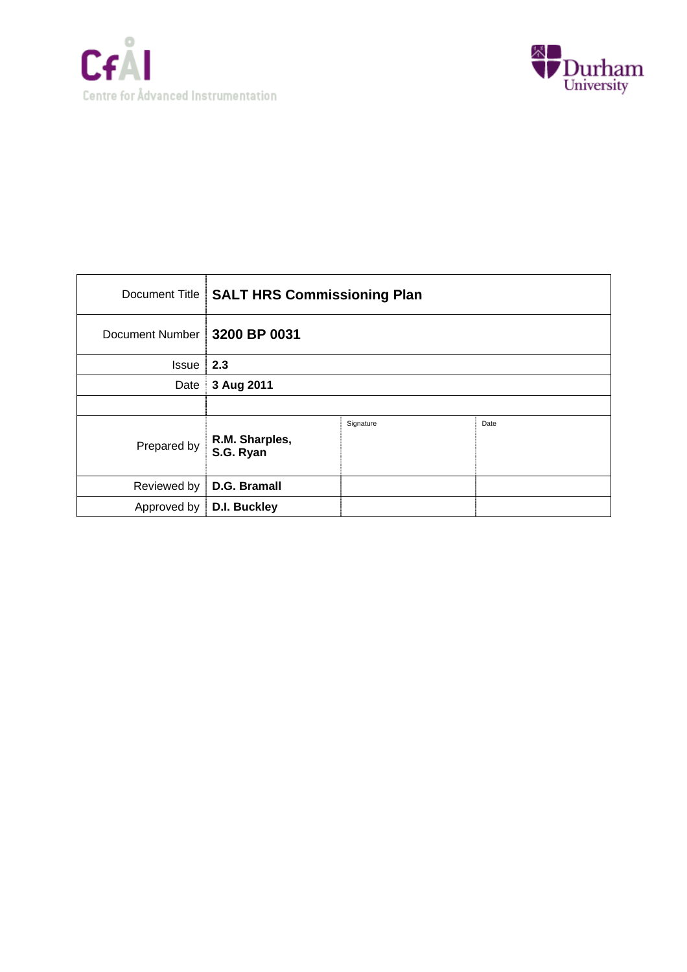



| Document Title  | <b>SALT HRS Commissioning Plan</b> |           |      |
|-----------------|------------------------------------|-----------|------|
| Document Number | 3200 BP 0031                       |           |      |
| Issue           | 2.3                                |           |      |
| Date            | 3 Aug 2011                         |           |      |
|                 |                                    |           |      |
| Prepared by     | R.M. Sharples,<br>S.G. Ryan        | Signature | Date |
| Reviewed by     | D.G. Bramall                       |           |      |
| Approved by     | D.I. Buckley                       |           |      |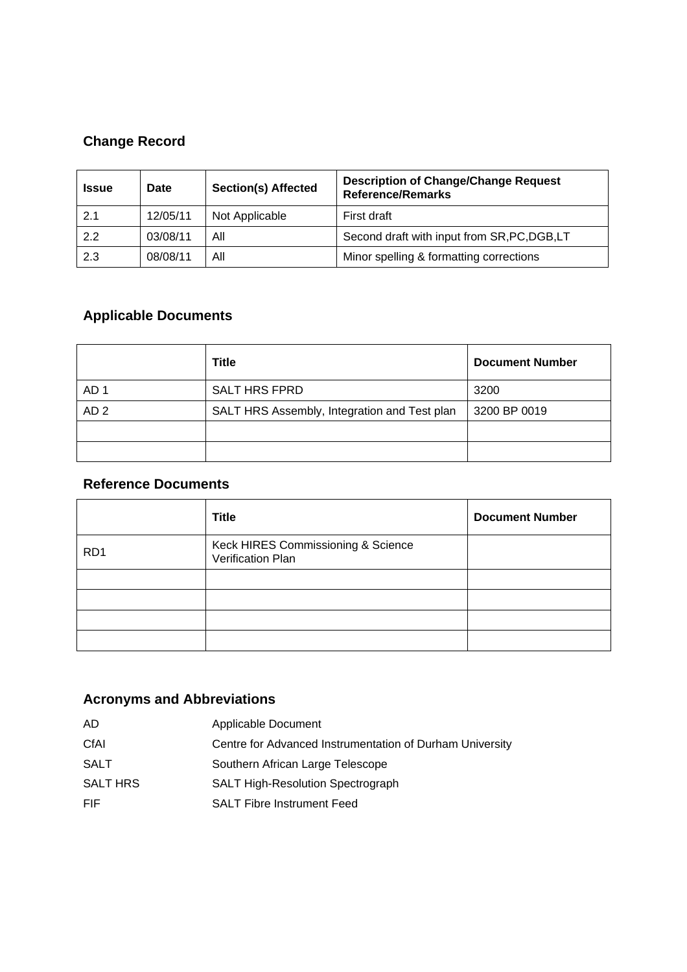# **Change Record**

| <b>Issue</b> | <b>Date</b> | <b>Section(s) Affected</b> | <b>Description of Change/Change Request</b><br><b>Reference/Remarks</b> |
|--------------|-------------|----------------------------|-------------------------------------------------------------------------|
| 2.1          | 12/05/11    | Not Applicable             | First draft                                                             |
| 2.2          | 03/08/11    | Αll                        | Second draft with input from SR, PC, DGB, LT                            |
| 2.3          | 08/08/11    | Αll                        | Minor spelling & formatting corrections                                 |

# **Applicable Documents**

|                 | <b>Title</b>                                 | <b>Document Number</b> |
|-----------------|----------------------------------------------|------------------------|
| AD <sub>1</sub> | <b>SALT HRS FPRD</b>                         | 3200                   |
| AD <sub>2</sub> | SALT HRS Assembly, Integration and Test plan | 3200 BP 0019           |
|                 |                                              |                        |
|                 |                                              |                        |

## **Reference Documents**

|                 | <b>Title</b>                                            | <b>Document Number</b> |
|-----------------|---------------------------------------------------------|------------------------|
| RD <sub>1</sub> | Keck HIRES Commissioning & Science<br>Verification Plan |                        |
|                 |                                                         |                        |
|                 |                                                         |                        |
|                 |                                                         |                        |
|                 |                                                         |                        |

## **Acronyms and Abbreviations**

| AD.             | Applicable Document                                      |
|-----------------|----------------------------------------------------------|
| CfAI            | Centre for Advanced Instrumentation of Durham University |
| <b>SALT</b>     | Southern African Large Telescope                         |
| <b>SALT HRS</b> | <b>SALT High-Resolution Spectrograph</b>                 |
| FIF.            | <b>SALT Fibre Instrument Feed</b>                        |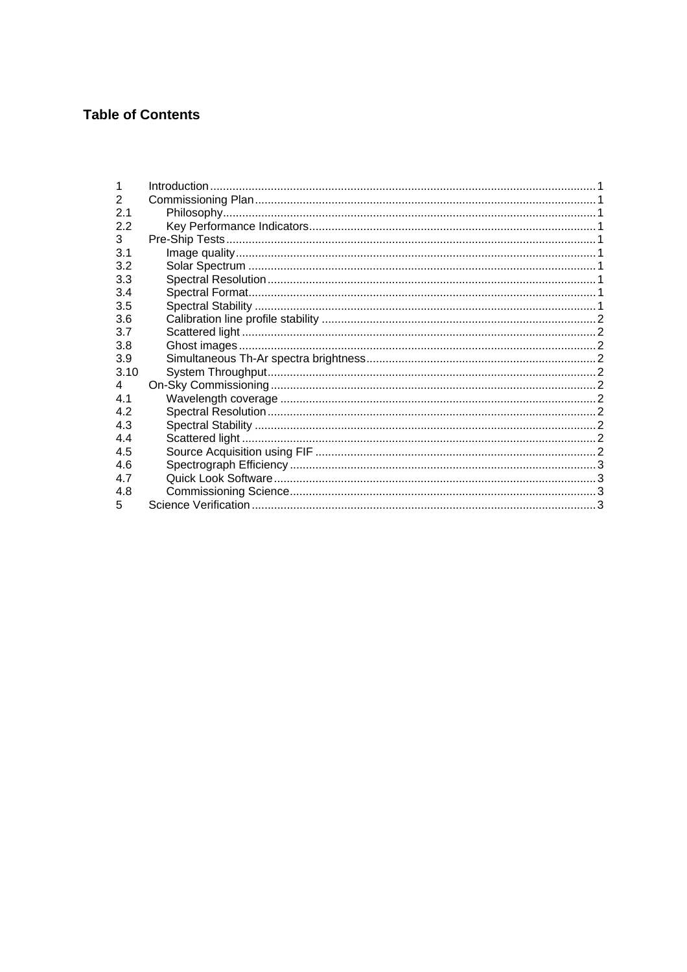## **Table of Contents**

| 1              |  |
|----------------|--|
| $\overline{2}$ |  |
| 2.1            |  |
| 2.2            |  |
| 3              |  |
| 3.1            |  |
| 3.2            |  |
| 3.3            |  |
| 3.4            |  |
| 3.5            |  |
| 3.6            |  |
| 3.7            |  |
| 3.8            |  |
| 3.9            |  |
| 3.10           |  |
| $\overline{4}$ |  |
| 4.1            |  |
| 4.2            |  |
| 4.3            |  |
| 4.4            |  |
| 4.5            |  |
| 4.6            |  |
| 4.7            |  |
| 4.8            |  |
| 5              |  |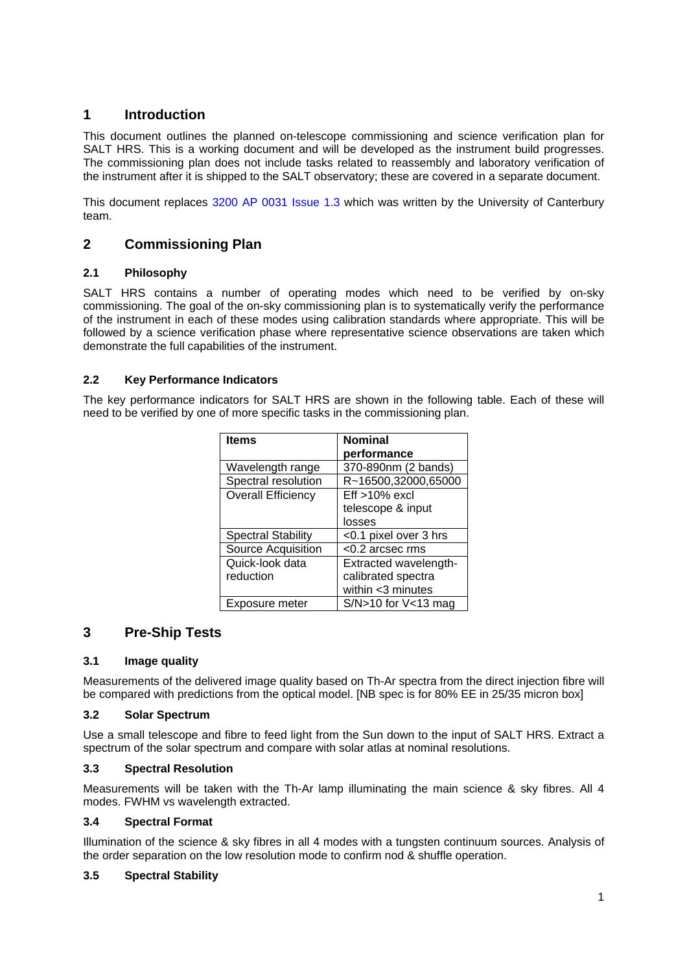## **1 Introduction**

This document outlines the planned on-telescope commissioning and science verification plan for SALT HRS. This is a working document and will be developed as the instrument build progresses. The commissioning plan does not include tasks related to reassembly and laboratory verification of the instrument after it is shipped to the SALT observatory; these are covered in a separate document.

This document replaces 3200 AP 0031 Issue 1.3 which was written by the University of Canterbury team.

## **2 Commissioning Plan**

#### **2.1 Philosophy**

SALT HRS contains a number of operating modes which need to be verified by on-sky commissioning. The goal of the on-sky commissioning plan is to systematically verify the performance of the instrument in each of these modes using calibration standards where appropriate. This will be followed by a science verification phase where representative science observations are taken which demonstrate the full capabilities of the instrument.

### **2.2 Key Performance Indicators**

The key performance indicators for SALT HRS are shown in the following table. Each of these will need to be verified by one of more specific tasks in the commissioning plan.

| <b>Items</b>              | <b>Nominal</b>          |
|---------------------------|-------------------------|
|                           | performance             |
| Wavelength range          | 370-890nm (2 bands)     |
| Spectral resolution       | R~16500,32000,65000     |
| <b>Overall Efficiency</b> | $Eff > 10\%$ excl       |
|                           | telescope & input       |
|                           | losses                  |
| <b>Spectral Stability</b> | <0.1 pixel over 3 hrs   |
| Source Acquisition        | $<$ 0.2 arcsec rms      |
| Quick-look data           | Extracted wavelength-   |
| reduction                 | calibrated spectra      |
|                           | within <3 minutes       |
| Exposure meter            | $S/N>10$ for $V<13$ mag |

## **3 Pre-Ship Tests**

#### **3.1 Image quality**

Measurements of the delivered image quality based on Th-Ar spectra from the direct injection fibre will be compared with predictions from the optical model. [NB spec is for 80% EE in 25/35 micron box]

#### **3.2 Solar Spectrum**

Use a small telescope and fibre to feed light from the Sun down to the input of SALT HRS. Extract a spectrum of the solar spectrum and compare with solar atlas at nominal resolutions.

#### **3.3 Spectral Resolution**

Measurements will be taken with the Th-Ar lamp illuminating the main science & sky fibres. All 4 modes. FWHM vs wavelength extracted.

#### **3.4 Spectral Format**

Illumination of the science & sky fibres in all 4 modes with a tungsten continuum sources. Analysis of the order separation on the low resolution mode to confirm nod & shuffle operation.

#### **3.5 Spectral Stability**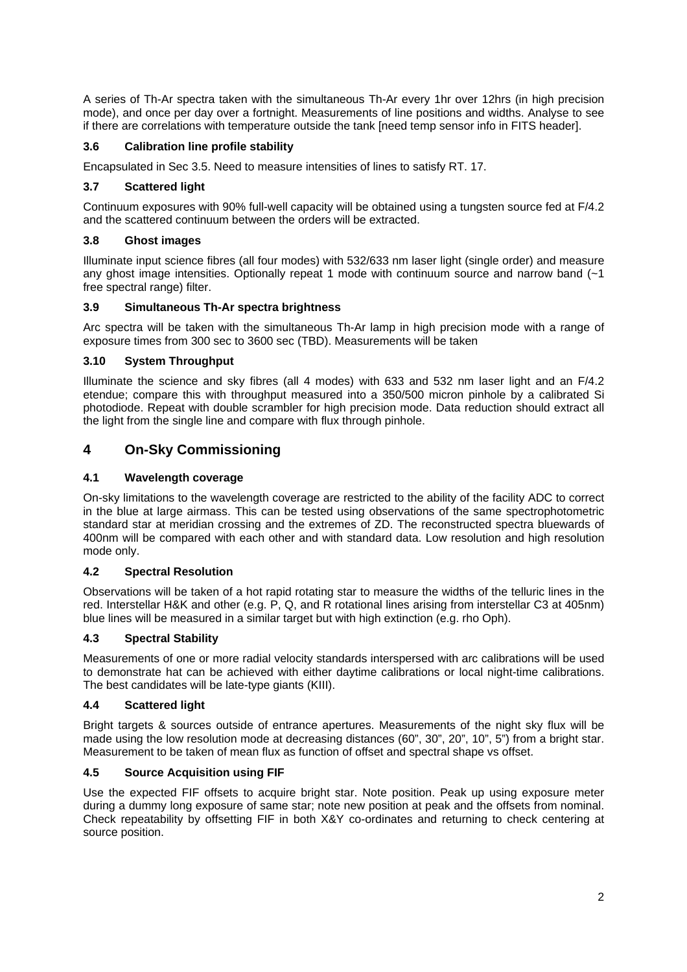A series of Th-Ar spectra taken with the simultaneous Th-Ar every 1hr over 12hrs (in high precision mode), and once per day over a fortnight. Measurements of line positions and widths. Analyse to see if there are correlations with temperature outside the tank [need temp sensor info in FITS header].

#### **3.6 Calibration line profile stability**

Encapsulated in Sec 3.5. Need to measure intensities of lines to satisfy RT. 17.

#### **3.7 Scattered light**

Continuum exposures with 90% full-well capacity will be obtained using a tungsten source fed at F/4.2 and the scattered continuum between the orders will be extracted.

#### **3.8 Ghost images**

Illuminate input science fibres (all four modes) with 532/633 nm laser light (single order) and measure any ghost image intensities. Optionally repeat 1 mode with continuum source and narrow band (~1 free spectral range) filter.

#### **3.9 Simultaneous Th-Ar spectra brightness**

Arc spectra will be taken with the simultaneous Th-Ar lamp in high precision mode with a range of exposure times from 300 sec to 3600 sec (TBD). Measurements will be taken

#### **3.10 System Throughput**

Illuminate the science and sky fibres (all 4 modes) with 633 and 532 nm laser light and an F/4.2 etendue; compare this with throughput measured into a 350/500 micron pinhole by a calibrated Si photodiode. Repeat with double scrambler for high precision mode. Data reduction should extract all the light from the single line and compare with flux through pinhole.

### **4 On-Sky Commissioning**

#### **4.1 Wavelength coverage**

On-sky limitations to the wavelength coverage are restricted to the ability of the facility ADC to correct in the blue at large airmass. This can be tested using observations of the same spectrophotometric standard star at meridian crossing and the extremes of ZD. The reconstructed spectra bluewards of 400nm will be compared with each other and with standard data. Low resolution and high resolution mode only.

#### **4.2 Spectral Resolution**

Observations will be taken of a hot rapid rotating star to measure the widths of the telluric lines in the red. Interstellar H&K and other (e.g. P, Q, and R rotational lines arising from interstellar C3 at 405nm) blue lines will be measured in a similar target but with high extinction (e.g. rho Oph).

#### **4.3 Spectral Stability**

Measurements of one or more radial velocity standards interspersed with arc calibrations will be used to demonstrate hat can be achieved with either daytime calibrations or local night-time calibrations. The best candidates will be late-type giants (KIII).

#### **4.4 Scattered light**

Bright targets & sources outside of entrance apertures. Measurements of the night sky flux will be made using the low resolution mode at decreasing distances (60", 30", 20", 10", 5") from a bright star. Measurement to be taken of mean flux as function of offset and spectral shape vs offset.

### **4.5 Source Acquisition using FIF**

Use the expected FIF offsets to acquire bright star. Note position. Peak up using exposure meter during a dummy long exposure of same star; note new position at peak and the offsets from nominal. Check repeatability by offsetting FIF in both X&Y co-ordinates and returning to check centering at source position.